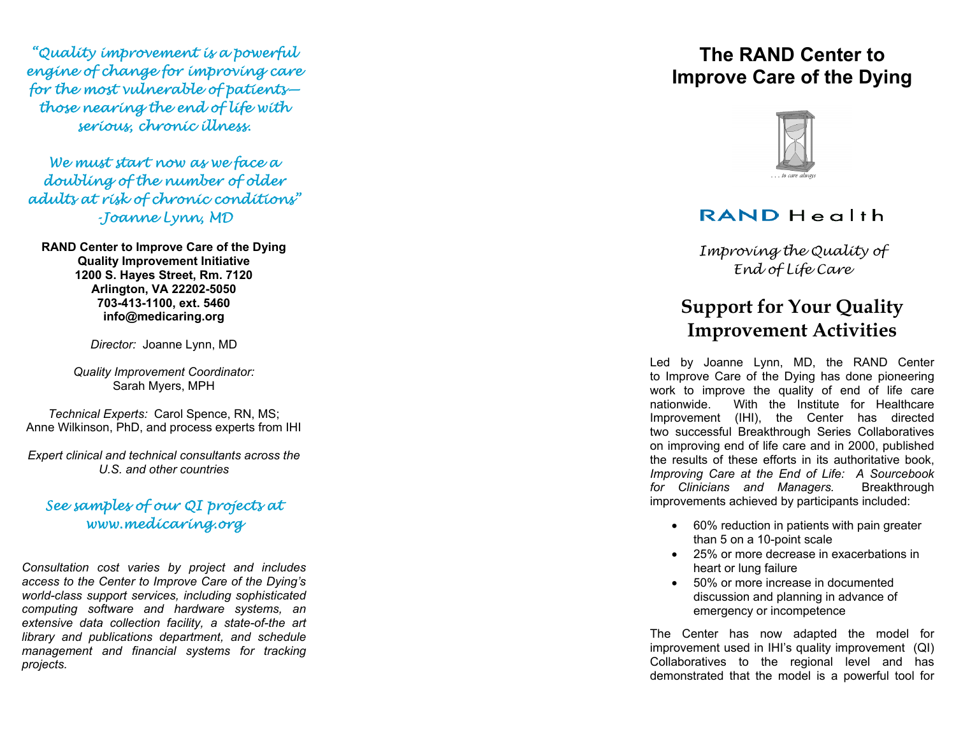"Quality improvement is a powerful engine of change for improving care for the most vulnerable of patients those nearing the end of life with serious, chronic illness.

We must start now as we face a doubling of the number of older adults at risk of chronic conditions" -Joanne Lynn, MD

**RAND Center to Improve Care of the Dying Quality Improvement Initiative 1200 S. Hayes Street, Rm. 7120 Arlington, VA 22202-5050 703-413-1100, ext. 5460 info@medicaring.org** 

*Director:* Joanne Lynn, MD

*Quality Improvement Coordinator:* Sarah Myers, MPH

*Technical Experts:* Carol Spence, RN, MS; Anne Wilkinson, PhD, and process experts from IHI

*Expert clinical and technical consultants across the U.S. and other countries* 

### See samples of our QI projects at www.medicaring.org

*Consultation cost varies by project and includes access to the Center to Improve Care of the Dying's world-class support services, including sophisticated computing software and hardware systems, an extensive data collection facility, a state-of-the art library and publications department, and schedule management and financial systems for tracking projects.* 

# **The RAND Center to Improve Care of the Dying**



## RAND Health

Improving the Quality of End of Life Care

# **Support for Your Quality Improvement Activities**

Led by Joanne Lynn, MD, the RAND Center to Improve Care of the Dying has done pioneering work to improve the quality of end of life care nationwide. With the Institute for Healthcare Improvement (IHI), the Center has directed two successful Breakthrough Series Collaboratives on improving end of life care and in 2000, published the results of these efforts in its authoritative book, *Improving Care at the End of Life: A Sourcebook for Clinicians and Managers.* Breakthrough improvements achieved by participants included:

- 60% reduction in patients with pain greater than 5 on a 10-point scale
- 25% or more decrease in exacerbations in heart or lung failure
- 50% or more increase in documented discussion and planning in advance of emergency or incompetence

The Center has now adapted the model for improvement used in IHI's quality improvement (QI) Collaboratives to the regional level and has demonstrated that the model is a powerful tool for